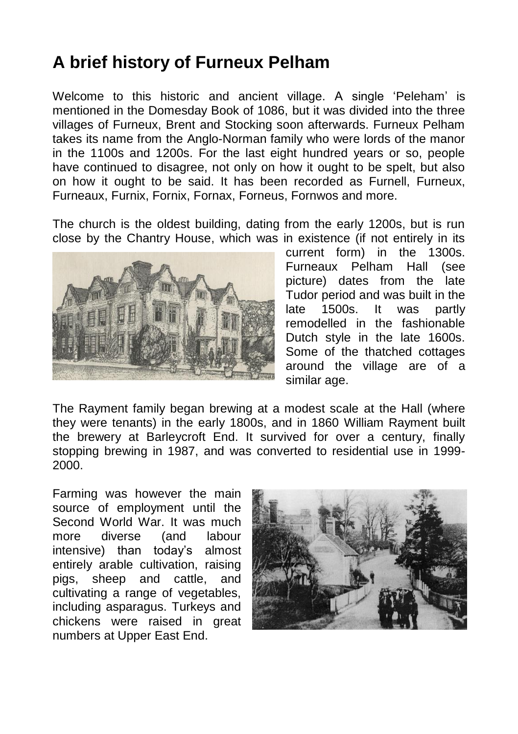## **A brief history of Furneux Pelham**

Welcome to this historic and ancient village. A single 'Peleham' is mentioned in the Domesday Book of 1086, but it was divided into the three villages of Furneux, Brent and Stocking soon afterwards. Furneux Pelham takes its name from the Anglo-Norman family who were lords of the manor in the 1100s and 1200s. For the last eight hundred years or so, people have continued to disagree, not only on how it ought to be spelt, but also on how it ought to be said. It has been recorded as Furnell, Furneux, Furneaux, Furnix, Fornix, Fornax, Forneus, Fornwos and more.

The church is the oldest building, dating from the early 1200s, but is run close by the Chantry House, which was in existence (if not entirely in its



current form) in the 1300s. Furneaux Pelham Hall (see picture) dates from the late Tudor period and was built in the late 1500s. It was partly remodelled in the fashionable Dutch style in the late 1600s. Some of the thatched cottages around the village are of a similar age.

The Rayment family began brewing at a modest scale at the Hall (where they were tenants) in the early 1800s, and in 1860 William Rayment built the brewery at Barleycroft End. It survived for over a century, finally stopping brewing in 1987, and was converted to residential use in 1999- 2000.

Farming was however the main source of employment until the Second World War. It was much more diverse (and labour intensive) than today's almost entirely arable cultivation, raising pigs, sheep and cattle, and cultivating a range of vegetables, including asparagus. Turkeys and chickens were raised in great numbers at Upper East End.